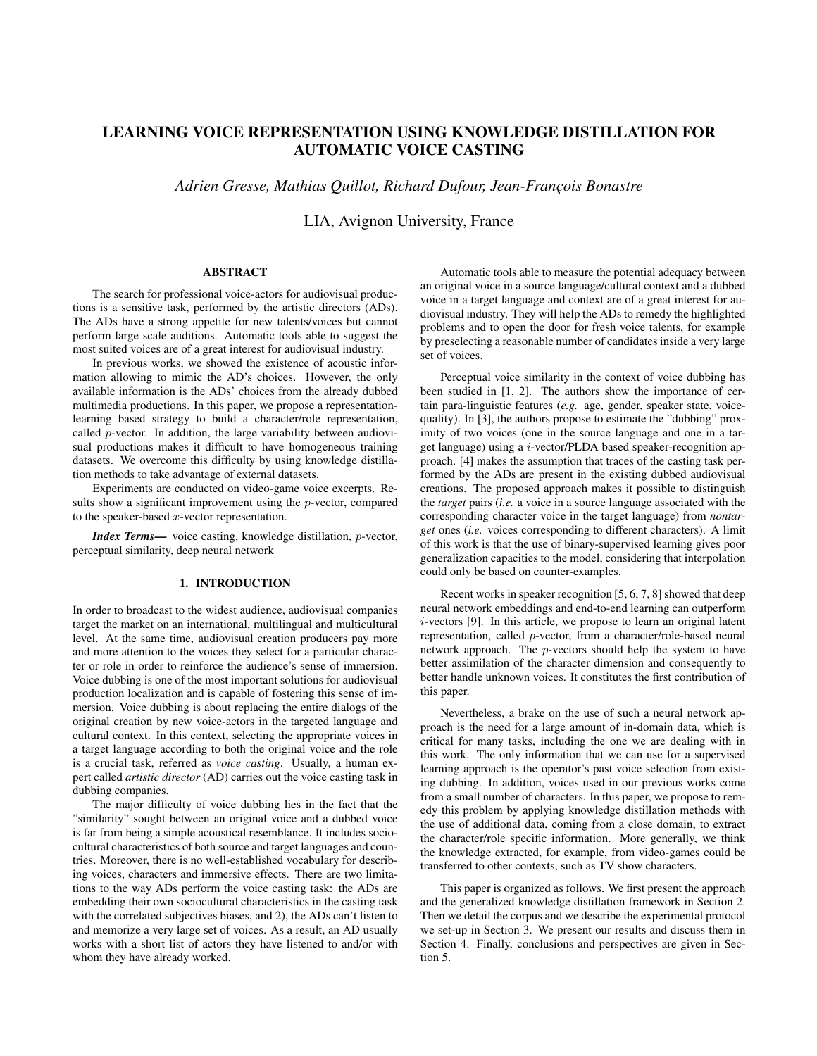# LEARNING VOICE REPRESENTATION USING KNOWLEDGE DISTILLATION FOR AUTOMATIC VOICE CASTING

*Adrien Gresse, Mathias Quillot, Richard Dufour, Jean-François Bonastre* 

LIA, Avignon University, France

# ABSTRACT

The search for professional voice-actors for audiovisual productions is a sensitive task, performed by the artistic directors (ADs). The ADs have a strong appetite for new talents/voices but cannot perform large scale auditions. Automatic tools able to suggest the most suited voices are of a great interest for audiovisual industry.

In previous works, we showed the existence of acoustic information allowing to mimic the AD's choices. However, the only available information is the ADs' choices from the already dubbed multimedia productions. In this paper, we propose a representationlearning based strategy to build a character/role representation, called p-vector. In addition, the large variability between audiovisual productions makes it difficult to have homogeneous training datasets. We overcome this difficulty by using knowledge distillation methods to take advantage of external datasets.

Experiments are conducted on video-game voice excerpts. Results show a significant improvement using the p-vector, compared to the speaker-based  $x$ -vector representation.

*Index Terms*— voice casting, knowledge distillation, p-vector, perceptual similarity, deep neural network

#### 1. INTRODUCTION

In order to broadcast to the widest audience, audiovisual companies target the market on an international, multilingual and multicultural level. At the same time, audiovisual creation producers pay more and more attention to the voices they select for a particular character or role in order to reinforce the audience's sense of immersion. Voice dubbing is one of the most important solutions for audiovisual production localization and is capable of fostering this sense of immersion. Voice dubbing is about replacing the entire dialogs of the original creation by new voice-actors in the targeted language and cultural context. In this context, selecting the appropriate voices in a target language according to both the original voice and the role is a crucial task, referred as *voice casting*. Usually, a human expert called *artistic director* (AD) carries out the voice casting task in dubbing companies.

The major difficulty of voice dubbing lies in the fact that the "similarity" sought between an original voice and a dubbed voice is far from being a simple acoustical resemblance. It includes sociocultural characteristics of both source and target languages and countries. Moreover, there is no well-established vocabulary for describing voices, characters and immersive effects. There are two limitations to the way ADs perform the voice casting task: the ADs are embedding their own sociocultural characteristics in the casting task with the correlated subjectives biases, and 2), the ADs can't listen to and memorize a very large set of voices. As a result, an AD usually works with a short list of actors they have listened to and/or with whom they have already worked.

Automatic tools able to measure the potential adequacy between an original voice in a source language/cultural context and a dubbed voice in a target language and context are of a great interest for audiovisual industry. They will help the ADs to remedy the highlighted problems and to open the door for fresh voice talents, for example by preselecting a reasonable number of candidates inside a very large set of voices.

Perceptual voice similarity in the context of voice dubbing has been studied in [1, 2]. The authors show the importance of certain para-linguistic features (*e.g.* age, gender, speaker state, voicequality). In [3], the authors propose to estimate the "dubbing" proximity of two voices (one in the source language and one in a target language) using a i-vector/PLDA based speaker-recognition approach. [4] makes the assumption that traces of the casting task performed by the ADs are present in the existing dubbed audiovisual creations. The proposed approach makes it possible to distinguish the *target* pairs (*i.e.* a voice in a source language associated with the corresponding character voice in the target language) from *nontarget* ones (*i.e.* voices corresponding to different characters). A limit of this work is that the use of binary-supervised learning gives poor generalization capacities to the model, considering that interpolation could only be based on counter-examples.

Recent works in speaker recognition [5, 6, 7, 8] showed that deep neural network embeddings and end-to-end learning can outperform i-vectors [9]. In this article, we propose to learn an original latent representation, called p-vector, from a character/role-based neural network approach. The p-vectors should help the system to have better assimilation of the character dimension and consequently to better handle unknown voices. It constitutes the first contribution of this paper.

Nevertheless, a brake on the use of such a neural network approach is the need for a large amount of in-domain data, which is critical for many tasks, including the one we are dealing with in this work. The only information that we can use for a supervised learning approach is the operator's past voice selection from existing dubbing. In addition, voices used in our previous works come from a small number of characters. In this paper, we propose to remedy this problem by applying knowledge distillation methods with the use of additional data, coming from a close domain, to extract the character/role specific information. More generally, we think the knowledge extracted, for example, from video-games could be transferred to other contexts, such as TV show characters.

This paper is organized as follows. We first present the approach and the generalized knowledge distillation framework in Section 2. Then we detail the corpus and we describe the experimental protocol we set-up in Section 3. We present our results and discuss them in Section 4. Finally, conclusions and perspectives are given in Section 5.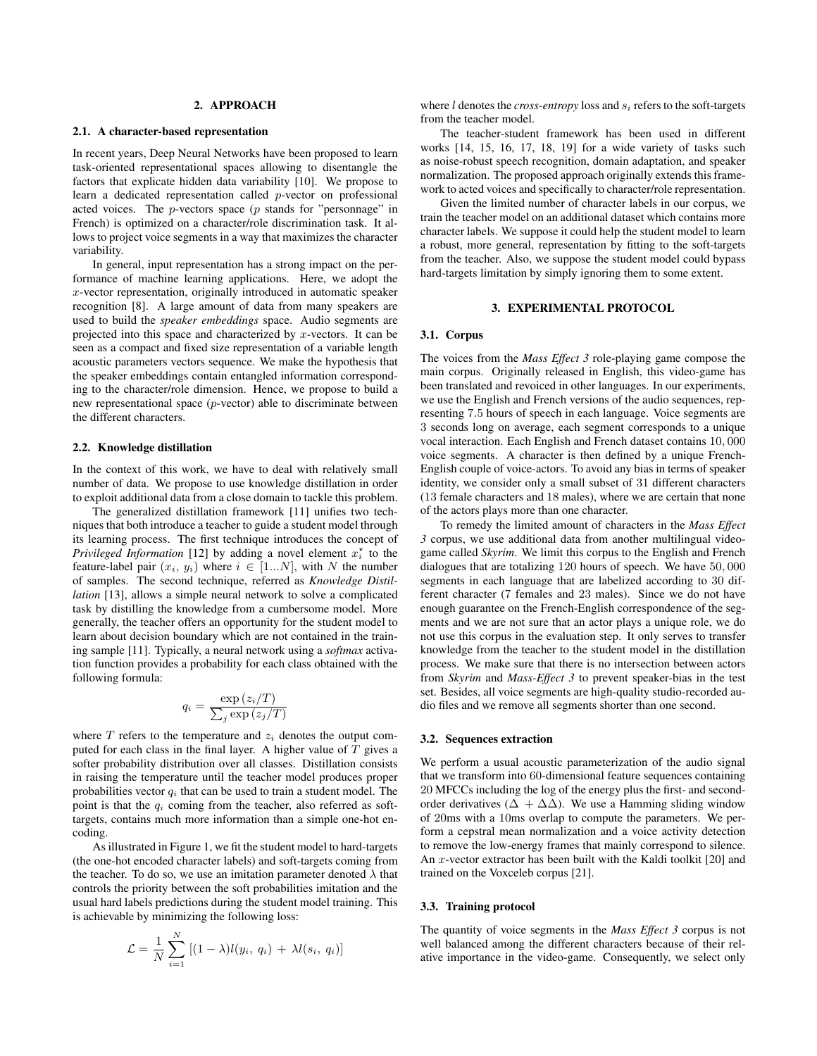#### 2. APPROACH

#### 2.1. A character-based representation

In recent years, Deep Neural Networks have been proposed to learn task-oriented representational spaces allowing to disentangle the factors that explicate hidden data variability [10]. We propose to learn a dedicated representation called p-vector on professional acted voices. The  $p$ -vectors space ( $p$  stands for "personnage" in French) is optimized on a character/role discrimination task. It allows to project voice segments in a way that maximizes the character variability.

In general, input representation has a strong impact on the performance of machine learning applications. Here, we adopt the x-vector representation, originally introduced in automatic speaker recognition [8]. A large amount of data from many speakers are used to build the *speaker embeddings* space. Audio segments are projected into this space and characterized by x-vectors. It can be seen as a compact and fixed size representation of a variable length acoustic parameters vectors sequence. We make the hypothesis that the speaker embeddings contain entangled information corresponding to the character/role dimension. Hence, we propose to build a new representational space (p-vector) able to discriminate between the different characters.

## 2.2. Knowledge distillation

In the context of this work, we have to deal with relatively small number of data. We propose to use knowledge distillation in order to exploit additional data from a close domain to tackle this problem.

The generalized distillation framework [11] unifies two techniques that both introduce a teacher to guide a student model through its learning process. The first technique introduces the concept of *Privileged Information* [12] by adding a novel element  $x_i^*$  to the feature-label pair  $(x_i, y_i)$  where  $i \in [1...N]$ , with N the number of samples. The second technique, referred as *Knowledge Distillation* [13], allows a simple neural network to solve a complicated task by distilling the knowledge from a cumbersome model. More generally, the teacher offers an opportunity for the student model to learn about decision boundary which are not contained in the training sample [11]. Typically, a neural network using a *softmax* activation function provides a probability for each class obtained with the following formula:

$$
y_i = \frac{\exp(z_i/T)}{\sum_j \exp(z_j/T)}
$$

 $\overline{q}$ 

where  $T$  refers to the temperature and  $z<sub>i</sub>$  denotes the output computed for each class in the final layer. A higher value of  $T$  gives a softer probability distribution over all classes. Distillation consists in raising the temperature until the teacher model produces proper probabilities vector  $q_i$  that can be used to train a student model. The point is that the  $q_i$  coming from the teacher, also referred as softtargets, contains much more information than a simple one-hot encoding.

As illustrated in Figure 1, we fit the student model to hard-targets (the one-hot encoded character labels) and soft-targets coming from the teacher. To do so, we use an imitation parameter denoted  $\lambda$  that controls the priority between the soft probabilities imitation and the usual hard labels predictions during the student model training. This is achievable by minimizing the following loss:

$$
\mathcal{L} = \frac{1}{N} \sum_{i=1}^{N} \left[ (1 - \lambda) l(y_i, q_i) + \lambda l(s_i, q_i) \right]
$$

where  $l$  denotes the *cross-entropy* loss and  $s_i$  refers to the soft-targets from the teacher model.

The teacher-student framework has been used in different works [14, 15, 16, 17, 18, 19] for a wide variety of tasks such as noise-robust speech recognition, domain adaptation, and speaker normalization. The proposed approach originally extends this framework to acted voices and specifically to character/role representation.

Given the limited number of character labels in our corpus, we train the teacher model on an additional dataset which contains more character labels. We suppose it could help the student model to learn a robust, more general, representation by fitting to the soft-targets from the teacher. Also, we suppose the student model could bypass hard-targets limitation by simply ignoring them to some extent.

#### 3. EXPERIMENTAL PROTOCOL

#### 3.1. Corpus

The voices from the *Mass Effect 3* role-playing game compose the main corpus. Originally released in English, this video-game has been translated and revoiced in other languages. In our experiments, we use the English and French versions of the audio sequences, representing 7.5 hours of speech in each language. Voice segments are 3 seconds long on average, each segment corresponds to a unique vocal interaction. Each English and French dataset contains 10, 000 voice segments. A character is then defined by a unique French-English couple of voice-actors. To avoid any bias in terms of speaker identity, we consider only a small subset of 31 different characters (13 female characters and 18 males), where we are certain that none of the actors plays more than one character.

To remedy the limited amount of characters in the *Mass Effect 3* corpus, we use additional data from another multilingual videogame called *Skyrim*. We limit this corpus to the English and French dialogues that are totalizing 120 hours of speech. We have 50, 000 segments in each language that are labelized according to 30 different character (7 females and 23 males). Since we do not have enough guarantee on the French-English correspondence of the segments and we are not sure that an actor plays a unique role, we do not use this corpus in the evaluation step. It only serves to transfer knowledge from the teacher to the student model in the distillation process. We make sure that there is no intersection between actors from *Skyrim* and *Mass-Effect 3* to prevent speaker-bias in the test set. Besides, all voice segments are high-quality studio-recorded audio files and we remove all segments shorter than one second.

#### 3.2. Sequences extraction

We perform a usual acoustic parameterization of the audio signal that we transform into 60-dimensional feature sequences containing 20 MFCCs including the log of the energy plus the first- and secondorder derivatives ( $\Delta + \Delta\Delta$ ). We use a Hamming sliding window of 20ms with a 10ms overlap to compute the parameters. We perform a cepstral mean normalization and a voice activity detection to remove the low-energy frames that mainly correspond to silence. An x-vector extractor has been built with the Kaldi toolkit [20] and trained on the Voxceleb corpus [21].

#### 3.3. Training protocol

The quantity of voice segments in the *Mass Effect 3* corpus is not well balanced among the different characters because of their relative importance in the video-game. Consequently, we select only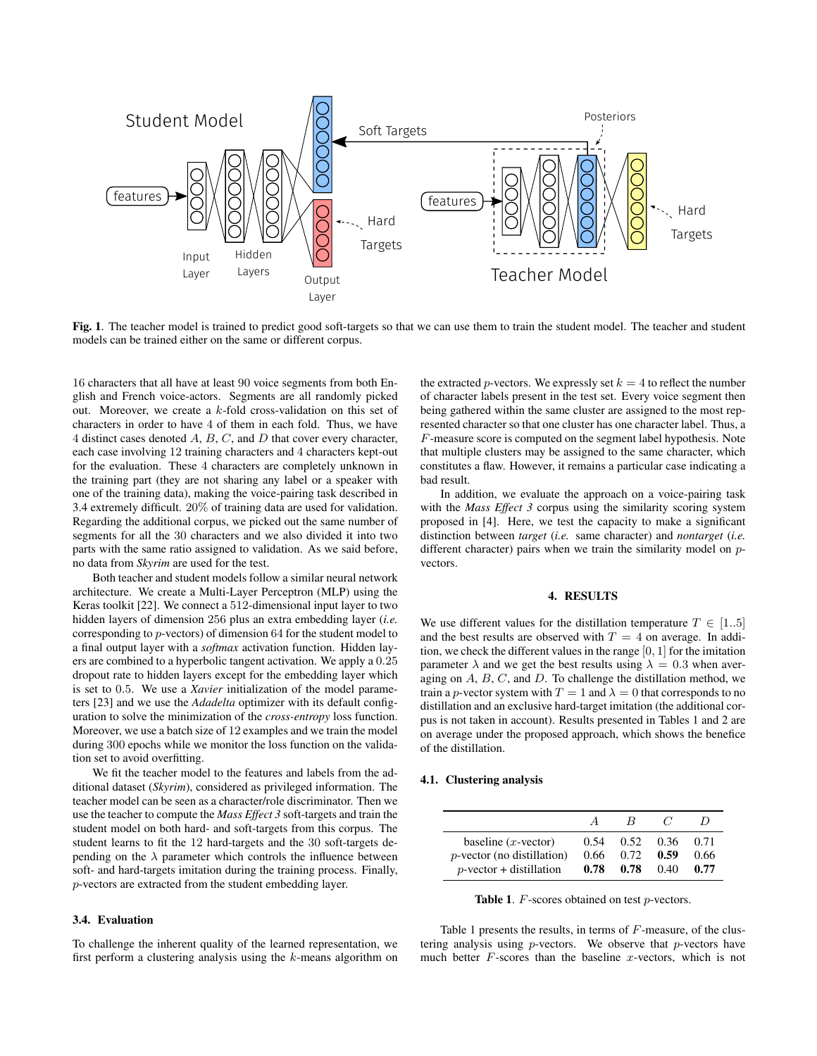

Fig. 1. The teacher model is trained to predict good soft-targets so that we can use them to train the student model. The teacher and student models can be trained either on the same or different corpus.

16 characters that all have at least 90 voice segments from both English and French voice-actors. Segments are all randomly picked out. Moreover, we create a k-fold cross-validation on this set of characters in order to have 4 of them in each fold. Thus, we have 4 distinct cases denoted A, B, C, and D that cover every character, each case involving 12 training characters and 4 characters kept-out for the evaluation. These 4 characters are completely unknown in the training part (they are not sharing any label or a speaker with one of the training data), making the voice-pairing task described in 3.4 extremely difficult. 20% of training data are used for validation. Regarding the additional corpus, we picked out the same number of segments for all the 30 characters and we also divided it into two parts with the same ratio assigned to validation. As we said before, no data from *Skyrim* are used for the test.

Both teacher and student models follow a similar neural network architecture. We create a Multi-Layer Perceptron (MLP) using the Keras toolkit [22]. We connect a 512-dimensional input layer to two hidden layers of dimension 256 plus an extra embedding layer (*i.e.* corresponding to p-vectors) of dimension 64 for the student model to a final output layer with a *softmax* activation function. Hidden layers are combined to a hyperbolic tangent activation. We apply a 0.25 dropout rate to hidden layers except for the embedding layer which is set to 0.5. We use a *Xavier* initialization of the model parameters [23] and we use the *Adadelta* optimizer with its default configuration to solve the minimization of the *cross-entropy* loss function. Moreover, we use a batch size of 12 examples and we train the model during 300 epochs while we monitor the loss function on the validation set to avoid overfitting.

We fit the teacher model to the features and labels from the additional dataset (*Skyrim*), considered as privileged information. The teacher model can be seen as a character/role discriminator. Then we use the teacher to compute the *Mass Effect 3* soft-targets and train the student model on both hard- and soft-targets from this corpus. The student learns to fit the 12 hard-targets and the 30 soft-targets depending on the  $\lambda$  parameter which controls the influence between soft- and hard-targets imitation during the training process. Finally, p-vectors are extracted from the student embedding layer.

#### 3.4. Evaluation

To challenge the inherent quality of the learned representation, we first perform a clustering analysis using the k-means algorithm on the extracted *p*-vectors. We expressly set  $k = 4$  to reflect the number of character labels present in the test set. Every voice segment then being gathered within the same cluster are assigned to the most represented character so that one cluster has one character label. Thus, a F-measure score is computed on the segment label hypothesis. Note that multiple clusters may be assigned to the same character, which constitutes a flaw. However, it remains a particular case indicating a bad result.

In addition, we evaluate the approach on a voice-pairing task with the *Mass Effect 3* corpus using the similarity scoring system proposed in [4]. Here, we test the capacity to make a significant distinction between *target* (*i.e.* same character) and *nontarget* (*i.e.* different character) pairs when we train the similarity model on pvectors.

#### 4. RESULTS

We use different values for the distillation temperature  $T \in [1..5]$ and the best results are observed with  $T = 4$  on average. In addition, we check the different values in the range [0, 1] for the imitation parameter  $\lambda$  and we get the best results using  $\lambda = 0.3$  when averaging on  $A, B, C$ , and  $D$ . To challenge the distillation method, we train a p-vector system with  $T = 1$  and  $\lambda = 0$  that corresponds to no distillation and an exclusive hard-target imitation (the additional corpus is not taken in account). Results presented in Tables 1 and 2 are on average under the proposed approach, which shows the benefice of the distillation.

#### 4.1. Clustering analysis

|                               | $\overline{A}$ | $_{\rm R}$ |      |      |
|-------------------------------|----------------|------------|------|------|
| baseline $(x$ -vector)        | 0.54           | 0.52       | 0.36 | 0.71 |
| $p$ -vector (no distillation) | 0.66           | 0.72       | 0.59 | 0.66 |
| $p$ -vector + distillation    | 0.78           | 0.78       | 0.40 | 0.77 |

Table 1. F-scores obtained on test p-vectors.

Table 1 presents the results, in terms of  $F$ -measure, of the clustering analysis using  $p$ -vectors. We observe that  $p$ -vectors have much better  $F$ -scores than the baseline x-vectors, which is not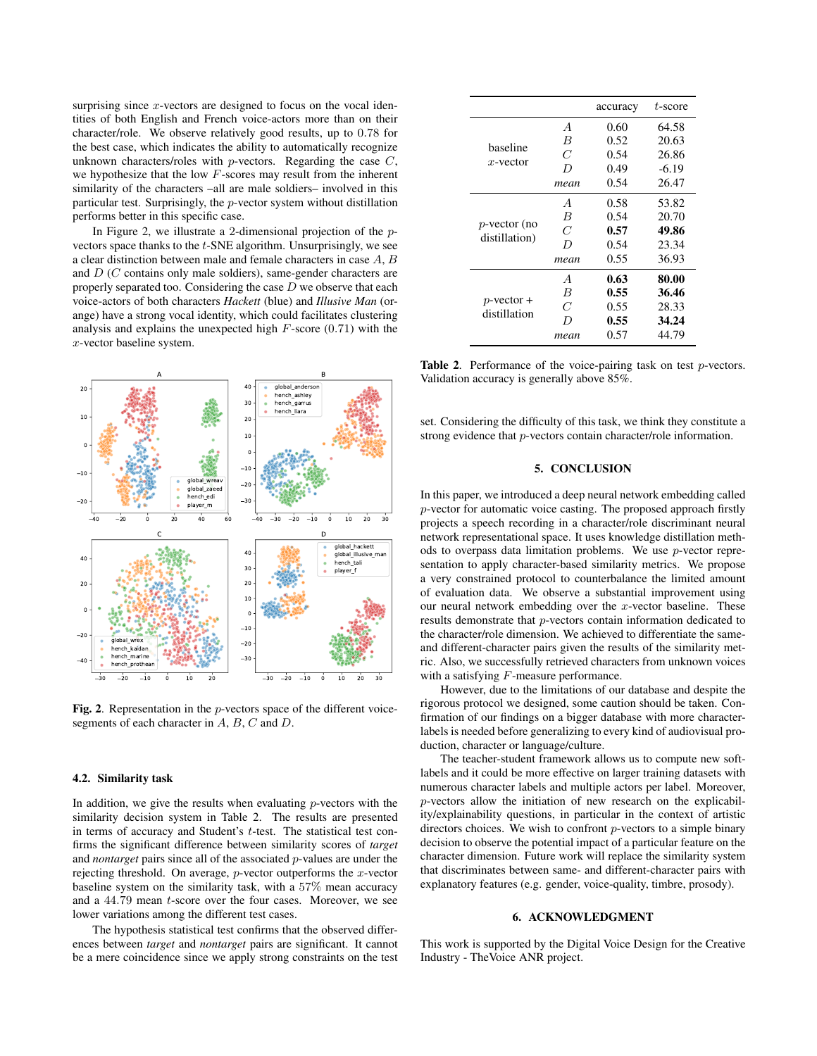surprising since  $x$ -vectors are designed to focus on the vocal identities of both English and French voice-actors more than on their character/role. We observe relatively good results, up to 0.78 for the best case, which indicates the ability to automatically recognize unknown characters/roles with  $p$ -vectors. Regarding the case  $C$ , we hypothesize that the low F-scores may result from the inherent similarity of the characters –all are male soldiers– involved in this particular test. Surprisingly, the p-vector system without distillation performs better in this specific case.

In Figure 2, we illustrate a 2-dimensional projection of the pvectors space thanks to the t-SNE algorithm. Unsurprisingly, we see a clear distinction between male and female characters in case A, B and D (C contains only male soldiers), same-gender characters are properly separated too. Considering the case  $D$  we observe that each voice-actors of both characters *Hackett* (blue) and *Illusive Man* (orange) have a strong vocal identity, which could facilitates clustering analysis and explains the unexpected high  $F$ -score (0.71) with the x-vector baseline system.



Fig. 2. Representation in the p-vectors space of the different voicesegments of each character in  $A$ ,  $B$ ,  $C$  and  $D$ .

#### 4.2. Similarity task

In addition, we give the results when evaluating  $p$ -vectors with the similarity decision system in Table 2. The results are presented in terms of accuracy and Student's  $t$ -test. The statistical test confirms the significant difference between similarity scores of *target* and *nontarget* pairs since all of the associated p-values are under the rejecting threshold. On average,  $p$ -vector outperforms the  $x$ -vector baseline system on the similarity task, with a 57% mean accuracy and a 44.79 mean t-score over the four cases. Moreover, we see lower variations among the different test cases.

The hypothesis statistical test confirms that the observed differences between *target* and *nontarget* pairs are significant. It cannot be a mere coincidence since we apply strong constraints on the test

|                                  |                | accuracy | $t$ -score |
|----------------------------------|----------------|----------|------------|
| haseline<br>$x$ -vector          | $\overline{A}$ | 0.60     | 64.58      |
|                                  | B              | 0.52     | 20.63      |
|                                  | C              | 0.54     | 26.86      |
|                                  | D              | 0.49     | $-6.19$    |
|                                  | mean           | 0.54     | 26.47      |
| $p$ -vector (no<br>distillation) | $\overline{A}$ | 0.58     | 53.82      |
|                                  | B              | 0.54     | 20.70      |
|                                  | C              | 0.57     | 49.86      |
|                                  | $\overline{D}$ | 0.54     | 23.34      |
|                                  | mean           | 0.55     | 36.93      |
| $p$ -vector +<br>distillation    | $\overline{A}$ | 0.63     | 80.00      |
|                                  | B              | 0.55     | 36.46      |
|                                  | C              | 0.55     | 28.33      |
|                                  | D              | 0.55     | 34.24      |
|                                  | mean           | 0.57     | 44.79      |

**Table 2.** Performance of the voice-pairing task on test  $p$ -vectors. Validation accuracy is generally above 85%.

set. Considering the difficulty of this task, we think they constitute a strong evidence that p-vectors contain character/role information.

## 5. CONCLUSION

In this paper, we introduced a deep neural network embedding called p-vector for automatic voice casting. The proposed approach firstly projects a speech recording in a character/role discriminant neural network representational space. It uses knowledge distillation methods to overpass data limitation problems. We use p-vector representation to apply character-based similarity metrics. We propose a very constrained protocol to counterbalance the limited amount of evaluation data. We observe a substantial improvement using our neural network embedding over the  $x$ -vector baseline. These results demonstrate that p-vectors contain information dedicated to the character/role dimension. We achieved to differentiate the sameand different-character pairs given the results of the similarity metric. Also, we successfully retrieved characters from unknown voices with a satisfying F-measure performance.

However, due to the limitations of our database and despite the rigorous protocol we designed, some caution should be taken. Confirmation of our findings on a bigger database with more characterlabels is needed before generalizing to every kind of audiovisual production, character or language/culture.

The teacher-student framework allows us to compute new softlabels and it could be more effective on larger training datasets with numerous character labels and multiple actors per label. Moreover, p-vectors allow the initiation of new research on the explicability/explainability questions, in particular in the context of artistic directors choices. We wish to confront  $p$ -vectors to a simple binary decision to observe the potential impact of a particular feature on the character dimension. Future work will replace the similarity system that discriminates between same- and different-character pairs with explanatory features (e.g. gender, voice-quality, timbre, prosody).

#### 6. ACKNOWLEDGMENT

This work is supported by the Digital Voice Design for the Creative Industry - TheVoice ANR project.